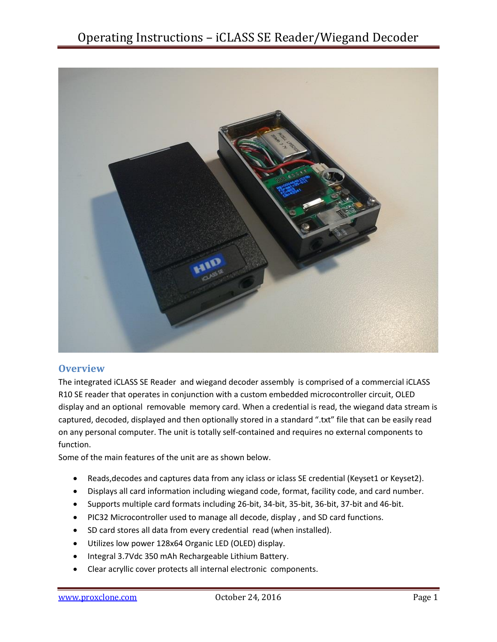

#### **Overview**

The integrated iCLASS SE Reader and wiegand decoder assembly is comprised of a commercial iCLASS R10 SE reader that operates in conjunction with a custom embedded microcontroller circuit, OLED display and an optional removable memory card. When a credential is read, the wiegand data stream is captured, decoded, displayed and then optionally stored in a standard ".txt" file that can be easily read on any personal computer. The unit is totally self-contained and requires no external components to function.

Some of the main features of the unit are as shown below.

- Reads,decodes and captures data from any iclass or iclass SE credential (Keyset1 or Keyset2).
- Displays all card information including wiegand code, format, facility code, and card number.
- Supports multiple card formats including 26-bit, 34-bit, 35-bit, 36-bit, 37-bit and 46-bit.
- PIC32 Microcontroller used to manage all decode, display , and SD card functions.
- SD card stores all data from every credential read (when installed).
- Utilizes low power 128x64 Organic LED (OLED) display.
- Integral 3.7Vdc 350 mAh Rechargeable Lithium Battery.
- Clear acryllic cover protects all internal electronic components.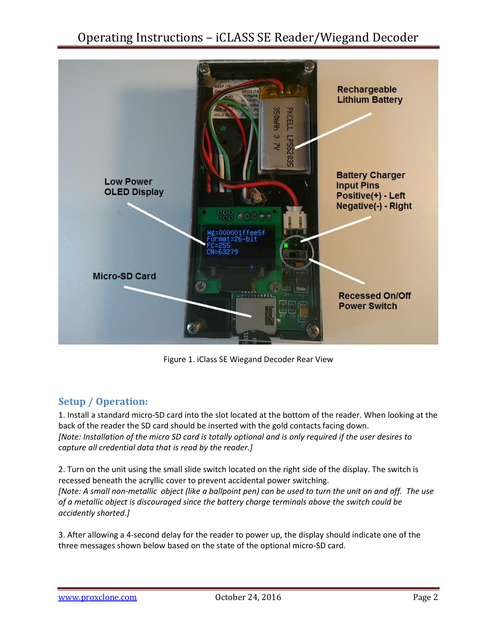# Operating Instructions – iCLASS SE Reader/Wiegand Decoder



Figure 1. iClass SE Wiegand Decoder Rear View

## **Setup / Operation:**

1. Install a standard micro-SD card into the slot located at the bottom of the reader. When looking at the back of the reader the SD card should be inserted with the gold contacts facing down. *[Note: Installation of the micro SD card is totally optional and is only required if the user desires to capture all credential data that is read by the reader.]*

2. Turn on the unit using the small slide switch located on the right side of the display. The switch is recessed beneath the acryllic cover to prevent accidental power switching. *[Note: A small non-metallic object (like a ballpoint pen) can be used to turn the unit on and off. The use of a metallic object is discouraged since the battery charge terminals above the switch could be accidently shorted.]*

3. After allowing a 4-second delay for the reader to power up, the display should indicate one of the three messages shown below based on the state of the optional micro-SD card.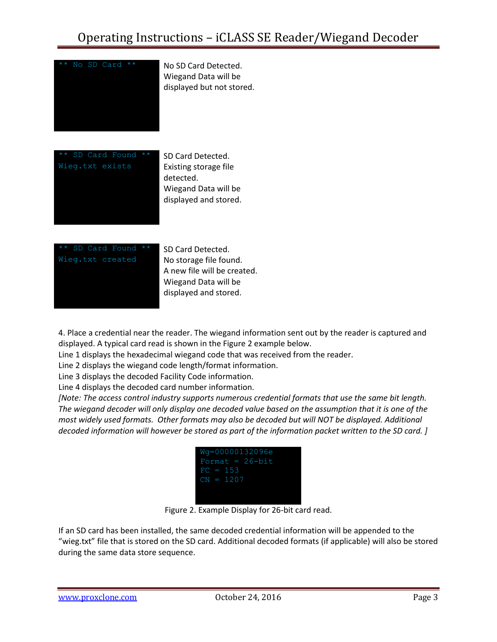## Operating Instructions – iCLASS SE Reader/Wiegand Decoder



Wiegand Data will be displayed but not stored.



detected. Wiegand Data will be displayed and stored.



A new file will be created. Wiegand Data will be displayed and stored.

4. Place a credential near the reader. The wiegand information sent out by the reader is captured and displayed. A typical card read is shown in the Figure 2 example below.

Line 1 displays the hexadecimal wiegand code that was received from the reader.

Line 2 displays the wiegand code length/format information.

Line 3 displays the decoded Facility Code information.

Line 4 displays the decoded card number information.

*[Note: The access control industry supports numerous credential formats that use the same bit length. The wiegand decoder will only display one decoded value based on the assumption that it is one of the most widely used formats. Other formats may also be decoded but will NOT be displayed. Additional decoded information will however be stored as part of the information packet written to the SD card. ]*

| Wg=00000132096e     |  |
|---------------------|--|
| Format = $26 - bit$ |  |
| $FC = 153$          |  |
| $CN = 1207$         |  |
|                     |  |
|                     |  |

Figure 2. Example Display for 26-bit card read.

If an SD card has been installed, the same decoded credential information will be appended to the "wieg.txt" file that is stored on the SD card. Additional decoded formats (if applicable) will also be stored during the same data store sequence.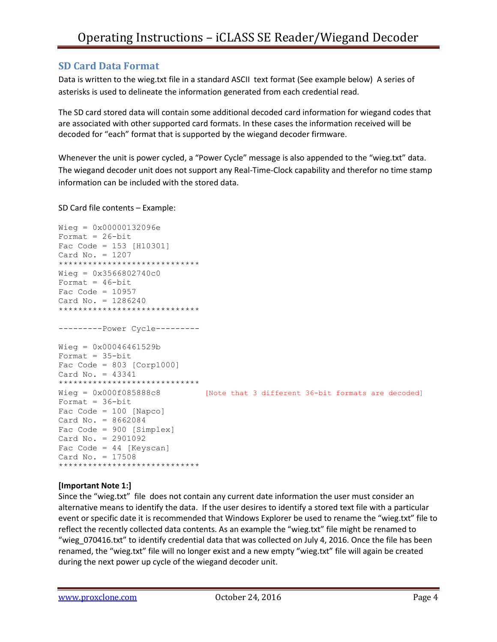### **SD Card Data Format**

Data is written to the wieg.txt file in a standard ASCII text format (See example below) A series of asterisks is used to delineate the information generated from each credential read.

The SD card stored data will contain some additional decoded card information for wiegand codes that are associated with other supported card formats. In these cases the information received will be decoded for "each" format that is supported by the wiegand decoder firmware.

Whenever the unit is power cycled, a "Power Cycle" message is also appended to the "wieg.txt" data. The wiegand decoder unit does not support any Real-Time-Clock capability and therefor no time stamp information can be included with the stored data.

SD Card file contents – Example:

```
Wieg = 0x00000132096e
Format = 26-bit
Fac Code = 153 [H10301]
Card No. = 1207
*****************************
Wieg = 0x3566802740c0Format = 46-bit
Fac Code = 10957Card No. = 1286240
*****************************
---------Power Cycle---------
Wieq = 0x00046461529bFormat = 35 - bitFac Code = 803 [Corp1000]
Card No. = 43341
*****************************
Wieg = 0x000f085888c8 [Note that 3 different 36-bit formats are decoded]
Format = 36-bit
Fac Code = 100 [Napco]
Card No. = 8662084
Fac Code = 900 [Simplex]
Card No. = 2901092
Fac Code = 44 [Keyscan]
Card No. = 17508
*****************************
```
#### **[Important Note 1:]**

Since the "wieg.txt" file does not contain any current date information the user must consider an alternative means to identify the data. If the user desires to identify a stored text file with a particular event or specific date it is recommended that Windows Explorer be used to rename the "wieg.txt" file to reflect the recently collected data contents. As an example the "wieg.txt" file might be renamed to "wieg 070416.txt" to identify credential data that was collected on July 4, 2016. Once the file has been renamed, the "wieg.txt" file will no longer exist and a new empty "wieg.txt" file will again be created during the next power up cycle of the wiegand decoder unit.